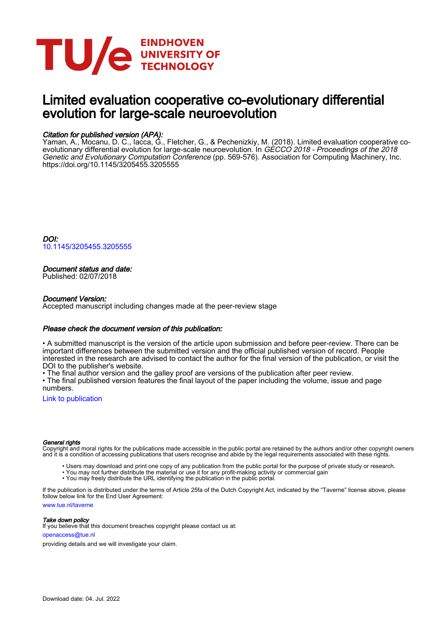

# Limited evaluation cooperative co-evolutionary differential evolution for large-scale neuroevolution

# Citation for published version (APA):

Yaman, A., Mocanu, D. C., Iacca, G., Fletcher, G., & Pechenizkiy, M. (2018). Limited evaluation cooperative coevolutionary differential evolution for large-scale neuroevolution. In *GECCO 2018 - Proceedings of the 2018* Genetic and Evolutionary Computation Conference (pp. 569-576). Association for Computing Machinery, Inc. <https://doi.org/10.1145/3205455.3205555>

DOI: [10.1145/3205455.3205555](https://doi.org/10.1145/3205455.3205555)

## Document status and date:

Published: 02/07/2018

#### Document Version:

Accepted manuscript including changes made at the peer-review stage

#### Please check the document version of this publication:

• A submitted manuscript is the version of the article upon submission and before peer-review. There can be important differences between the submitted version and the official published version of record. People interested in the research are advised to contact the author for the final version of the publication, or visit the DOI to the publisher's website.

• The final author version and the galley proof are versions of the publication after peer review.

• The final published version features the final layout of the paper including the volume, issue and page numbers.

[Link to publication](https://research.tue.nl/en/publications/25ce5e7a-7dcd-4327-8832-37e6cf13c12a)

#### General rights

Copyright and moral rights for the publications made accessible in the public portal are retained by the authors and/or other copyright owners and it is a condition of accessing publications that users recognise and abide by the legal requirements associated with these rights.

- Users may download and print one copy of any publication from the public portal for the purpose of private study or research.
- You may not further distribute the material or use it for any profit-making activity or commercial gain
- You may freely distribute the URL identifying the publication in the public portal.

If the publication is distributed under the terms of Article 25fa of the Dutch Copyright Act, indicated by the "Taverne" license above, please follow below link for the End User Agreement:

www.tue.nl/taverne

**Take down policy**<br>If you believe that this document breaches copyright please contact us at:

openaccess@tue.nl

providing details and we will investigate your claim.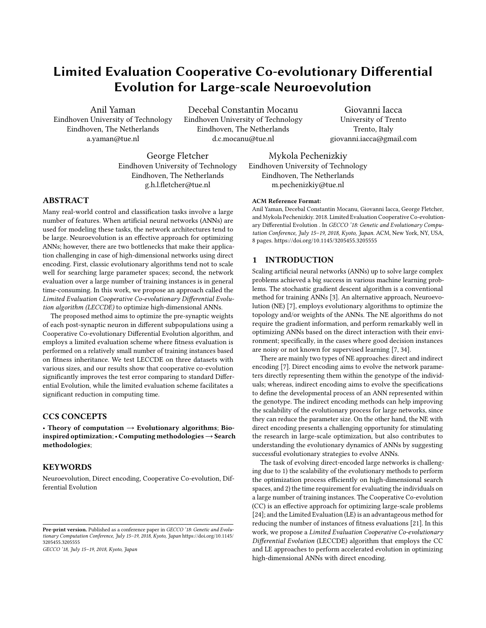# Limited Evaluation Cooperative Co-evolutionary Differential Evolution for Large-scale Neuroevolution

Anil Yaman Eindhoven University of Technology Eindhoven, The Netherlands a.yaman@tue.nl

Decebal Constantin Mocanu Eindhoven University of Technology Eindhoven, The Netherlands d.c.mocanu@tue.nl

Giovanni Iacca University of Trento Trento, Italy giovanni.iacca@gmail.com

George Fletcher Eindhoven University of Technology Eindhoven, The Netherlands g.h.l.fletcher@tue.nl

Mykola Pechenizkiy Eindhoven University of Technology Eindhoven, The Netherlands m.pechenizkiy@tue.nl

# ABSTRACT

Many real-world control and classification tasks involve a large number of features. When artificial neural networks (ANNs) are used for modeling these tasks, the network architectures tend to be large. Neuroevolution is an effective approach for optimizing ANNs; however, there are two bottlenecks that make their application challenging in case of high-dimensional networks using direct encoding. First, classic evolutionary algorithms tend not to scale well for searching large parameter spaces; second, the network evaluation over a large number of training instances is in general time-consuming. In this work, we propose an approach called the Limited Evaluation Cooperative Co-evolutionary Differential Evolution algorithm (LECCDE) to optimize high-dimensional ANNs.

The proposed method aims to optimize the pre-synaptic weights of each post-synaptic neuron in different subpopulations using a Cooperative Co-evolutionary Differential Evolution algorithm, and employs a limited evaluation scheme where fitness evaluation is performed on a relatively small number of training instances based on fitness inheritance. We test LECCDE on three datasets with various sizes, and our results show that cooperative co-evolution significantly improves the test error comparing to standard Differential Evolution, while the limited evaluation scheme facilitates a significant reduction in computing time.

#### CCS CONCEPTS

• Theory of computation  $\rightarrow$  Evolutionary algorithms; Bioinspired optimization;• Computing methodologies→Search methodologies;

#### **KEYWORDS**

Neuroevolution, Direct encoding, Cooperative Co-evolution, Differential Evolution

GECCO '18, July 15–19, 2018, Kyoto, Japan

ACM Reference Format:

Anil Yaman, Decebal Constantin Mocanu, Giovanni Iacca, George Fletcher, and Mykola Pechenizkiy. 2018. Limited Evaluation Cooperative Co-evolutionary Differential Evolution . In GECCO '18: Genetic and Evolutionary Computation Conference, July 15-19, 2018, Kyoto, Japan. ACM, New York, NY, USA, [8](#page-8-0) pages.<https://doi.org/10.1145/3205455.3205555>

# 1 INTRODUCTION

Scaling artificial neural networks (ANNs) up to solve large complex problems achieved a big success in various machine learning problems. The stochastic gradient descent algorithm is a conventional method for training ANNs [\[3\]](#page-8-1). An alternative approach, Neuroevolution (NE) [\[7\]](#page-8-2), employs evolutionary algorithms to optimize the topology and/or weights of the ANNs. The NE algorithms do not require the gradient information, and perform remarkably well in optimizing ANNs based on the direct interaction with their environment; specifically, in the cases where good decision instances are noisy or not known for supervised learning [\[7,](#page-8-2) [34\]](#page-8-3).

There are mainly two types of NE approaches: direct and indirect encoding [\[7\]](#page-8-2). Direct encoding aims to evolve the network parameters directly representing them within the genotype of the individuals; whereas, indirect encoding aims to evolve the specifications to define the developmental process of an ANN represented within the genotype. The indirect encoding methods can help improving the scalability of the evolutionary process for large networks, since they can reduce the parameter size. On the other hand, the NE with direct encoding presents a challenging opportunity for stimulating the research in large-scale optimization, but also contributes to understanding the evolutionary dynamics of ANNs by suggesting successful evolutionary strategies to evolve ANNs.

The task of evolving direct-encoded large networks is challenging due to 1) the scalability of the evolutionary methods to perform the optimization process efficiently on high-dimensional search spaces, and 2) the time requirement for evaluating the individuals on a large number of training instances. The Cooperative Co-evolution (CC) is an effective approach for optimizing large-scale problems [\[24\]](#page-8-4); and the Limited Evaluation (LE) is an advantageous method for reducing the number of instances of fitness evaluations [\[21\]](#page-8-5). In this work, we propose a Limited Evaluation Cooperative Co-evolutionary Differential Evolution (LECCDE) algorithm that employs the CC and LE approaches to perform accelerated evolution in optimizing high-dimensional ANNs with direct encoding.

Pre-print version. Published as a conference paper in GECCO '18: Genetic and Evolutionary Computation Conference, July 15–19, 2018, Kyoto, Japan [https://doi.org/10.1145/](https://doi.org/10.1145/3205455.3205555) [3205455.3205555](https://doi.org/10.1145/3205455.3205555)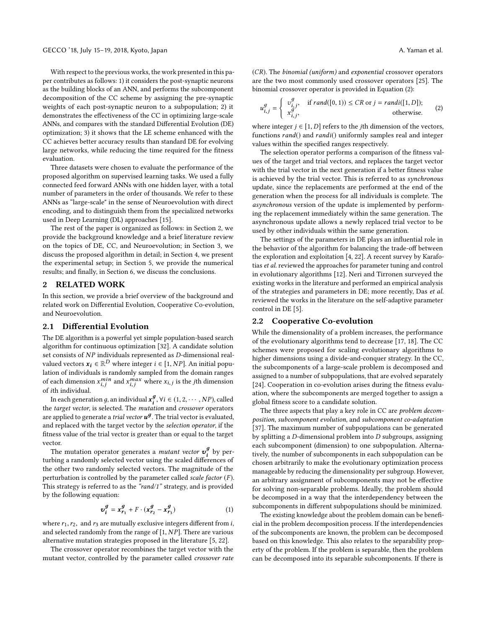With respect to the previous works, the work presented in this paper contributes as follows: 1) it considers the post-synaptic neurons as the building blocks of an ANN, and performs the subcomponent decomposition of the CC scheme by assigning the pre-synaptic weights of each post-synaptic neuron to a subpopulation; 2) it demonstrates the effectiveness of the CC in optimizing large-scale ANNs, and compares with the standard Differential Evolution (DE) optimization; 3) it shows that the LE scheme enhanced with the CC achieves better accuracy results than standard DE for evolving large networks, while reducing the time required for the fitness evaluation.

Three datasets were chosen to evaluate the performance of the proposed algorithm on supervised learning tasks. We used a fully connected feed forward ANNs with one hidden layer, with a total number of parameters in the order of thousands. We refer to these ANNs as "large-scale" in the sense of Neuroevolution with direct encoding, and to distinguish them from the specialized networks used in Deep Learning (DL) approaches [\[15\]](#page-8-6).

The rest of the paper is organized as follows: in Section [2,](#page-2-0) we provide the background knowledge and a brief literature review on the topics of DE, CC, and Neuroevolution; in Section [3,](#page-3-0) we discuss the proposed algorithm in detail; in Section [4,](#page-4-0) we present the experimental setup; in Section [5,](#page-5-0) we provide the numerical results; and finally, in Section [6,](#page-7-0) we discuss the conclusions.

#### <span id="page-2-0"></span>2 RELATED WORK

In this section, we provide a brief overview of the background and related work on Differential Evolution, Cooperative Co-evolution, and Neuroevolution.

#### 2.1 Differential Evolution

The DE algorithm is a powerful yet simple population-based search algorithm for continuous optimization [\[32\]](#page-8-7). A candidate solution set consists of  $NP$  individuals represented as  $D$ -dimensional realvalued vectors  $\mathbf{x}_i \in \mathbb{R}^D$  where integer  $i \in [1, NP]$ . An initial population of individuals is randomly sampled from the domain ranges lation of individuals is randomly sampled from the domain ranges of each dimension  $x_{i,j}^{min}$  and  $x_{i,j}^{max}$  where  $x_{i,j}$  is the *j*th dimension of *i*th individual of ith individual.

In each generation g, an individual  $x_i^g$ ,  $\forall i \in (1, 2, \cdots, NP)$ , called<br>the target vector is selected. The mutation and crossover operators the target vector, is selected. The mutation and crossover operators are applied to generate a *trial vector*  $\pmb{u}^{\boldsymbol{g}}.$  The trial vector is evaluated, and replaced with the target vector by the selection operator, if the fitness value of the trial vector is greater than or equal to the target vector.

The mutation operator generates a *mutant vector*  $v_i^y$  by perturbing a randomly selected vector using the scaled differences of the other two randomly selected vectors. The magnitude of the perturbation is controlled by the parameter called scale factor  $(F)$ . This strategy is referred to as the "rand/1" strategy, and is provided by the following equation:

$$
\boldsymbol{v}_i^g = \boldsymbol{x}_{r_1}^g + F \cdot (\boldsymbol{x}_{r_2}^g - \boldsymbol{x}_{r_3}^g) \tag{1}
$$

where  $r_1, r_2$ , and  $r_3$  are mutually exclusive integers different from *i*, and selected randomly from the range of  $[1 \text{ N}^{D}]$ . There are various and selected randomly from the range of  $[1, NP]$ . There are various alternative mutation strategies proposed in the literature [\[5,](#page-8-8) [22\]](#page-8-9).

The crossover operator recombines the target vector with the mutant vector, controlled by the parameter called crossover rate (CR). The binomial (uniform) and exponential crossover operators are the two most commonly used crossover operators [\[25\]](#page-8-10). The binomial crossover operator is provided in Equation [\(2\)](#page-2-1):

<span id="page-2-1"></span>
$$
u_{i,j}^g = \begin{cases} v_{i,j}^g, & \text{if } rand([0,1)) \le CR \text{ or } j = randi([1,D]);\\ x_{i,j}^g, & \text{otherwise.} \end{cases}
$$
 (2)

where integer  $j \in [1, D]$  refers to the *j*th dimension of the vectors,<br>functions *rand*() and *rand*(() uniformly samples real and integer functions rand() and randi() uniformly samples real and integer values within the specified ranges respectively.

The selection operator performs a comparison of the fitness values of the target and trial vectors, and replaces the target vector with the trial vector in the next generation if a better fitness value is achieved by the trial vector. This is referred to as synchronous update, since the replacements are performed at the end of the generation when the process for all individuals is complete. The asynchronous version of the update is implemented by performing the replacement immediately within the same generation. The asynchronous update allows a newly replaced trial vector to be used by other individuals within the same generation.

The settings of the parameters in DE plays an influential role in the behavior of the algorithm for balancing the trade-off between the exploration and exploitation [\[4,](#page-8-11) [22\]](#page-8-9). A recent survey by Karafotias et al. reviewed the approaches for parameter tuning and control in evolutionary algorithms [\[12\]](#page-8-12). Neri and Tirronen surveyed the existing works in the literature and performed an empirical analysis of the strategies and parameters in DE; more recently, Das et al. reviewed the works in the literature on the self-adaptive parameter control in DE [\[5\]](#page-8-8).

#### 2.2 Cooperative Co-evolution

While the dimensionality of a problem increases, the performance of the evolutionary algorithms tend to decrease [\[17,](#page-8-13) [18\]](#page-8-14). The CC schemes were proposed for scaling evolutionary algorithms to higher dimensions using a divide-and-conquer strategy. In the CC, the subcomponents of a large-scale problem is decomposed and assigned to a number of subpopulations, that are evolved separately [\[24\]](#page-8-4). Cooperation in co-evolution arises during the fitness evaluation, where the subcomponents are merged together to assign a global fitness score to a candidate solution.

The three aspects that play a key role in CC are *problem decom*position, subcomponent evolution, and subcomponent co-adaptation [\[37\]](#page-8-15). The maximum number of subpopulations can be generated by splitting a D-dimensional problem into D subgroups, assigning each subcomponent (dimension) to one subpopulation. Alternatively, the number of subcomponents in each subpopulation can be chosen arbitrarily to make the evolutionary optimization process manageable by reducing the dimensionality per subgroup. However, an arbitrary assignment of subcomponents may not be effective for solving non-separable problems. Ideally, the problem should be decomposed in a way that the interdependency between the subcomponents in different subpopulations should be minimized.

The existing knowledge about the problem domain can be beneficial in the problem decomposition process. If the interdependencies of the subcomponents are known, the problem can be decomposed based on this knowledge. This also relates to the separability property of the problem. If the problem is separable, then the problem can be decomposed into its separable subcomponents. If there is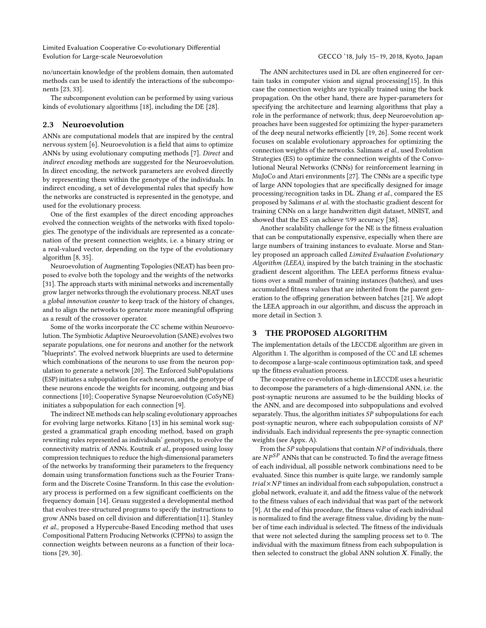Limited Evaluation Cooperative Co-evolutionary Differential Evolution for Large-scale Neuroevolution GECCO '18, July 15–19, 2018, Kyoto, Japan

no/uncertain knowledge of the problem domain, then automated methods can be used to identify the interactions of the subcomponents [\[23,](#page-8-16) [33\]](#page-8-17).

The subcomponent evolution can be performed by using various kinds of evolutionary algorithms [\[18\]](#page-8-14), including the DE [\[28\]](#page-8-18).

#### 2.3 Neuroevolution

ANNs are computational models that are inspired by the central nervous system [\[6\]](#page-8-19). Neuroevolution is a field that aims to optimize ANNs by using evolutionary computing methods [\[7\]](#page-8-2). Direct and indirect encoding methods are suggested for the Neuroevolution. In direct encoding, the network parameters are evolved directly by representing them within the genotype of the individuals. In indirect encoding, a set of developmental rules that specify how the networks are constructed is represented in the genotype, and used for the evolutionary process.

One of the first examples of the direct encoding approaches evolved the connection weights of the networks with fixed topologies. The genotype of the individuals are represented as a concatenation of the present connection weights, i.e. a binary string or a real-valued vector, depending on the type of the evolutionary algorithm [\[8,](#page-8-20) [35\]](#page-8-21).

Neuroevolution of Augmenting Topologies (NEAT) has been proposed to evolve both the topology and the weights of the networks [\[31\]](#page-8-22). The approach starts with minimal networks and incrementally grow larger networks through the evolutionary process. NEAT uses a global innovation counter to keep track of the history of changes, and to align the networks to generate more meaningful offspring as a result of the crossover operator.

Some of the works incorporate the CC scheme within Neuroevolution. The Symbiotic Adaptive Neuroevolution (SANE) evolves two separate populations, one for neurons and another for the network "blueprints". The evolved network blueprints are used to determine which combinations of the neurons to use from the neuron population to generate a network [\[20\]](#page-8-23). The Enforced SubPopulations (ESP) initiates a subpopulation for each neuron, and the genotype of these neurons encode the weights for incoming, outgoing and bias connections [\[10\]](#page-8-24); Cooperative Synapse Neuroevolution (CoSyNE) initiates a subpopulation for each connection [\[9\]](#page-8-25).

The indirect NE methods can help scaling evolutionary approaches for evolving large networks. Kitano [\[13\]](#page-8-26) in his seminal work suggested a grammatical graph encoding method, based on graph rewriting rules represented as individuals' genotypes, to evolve the connectivity matrix of ANNs. Koutnik et al., proposed using lossy compression techniques to reduce the high-dimensional parameters of the networks by transforming their parameters to the frequency domain using transformation functions such as the Fourier Transform and the Discrete Cosine Transform. In this case the evolutionary process is performed on a few significant coefficients on the frequency domain [\[14\]](#page-8-27). Gruau suggested a developmental method that evolves tree-structured programs to specify the instructions to grow ANNs based on cell division and differentiation[\[11\]](#page-8-28). Stanley et al., proposed a Hypercube-Based Encoding method that uses Compositional Pattern Producing Networks (CPPNs) to assign the connection weights between neurons as a function of their locations [\[29,](#page-8-29) [30\]](#page-8-30).

The ANN architectures used in DL are often engineered for certain tasks in computer vision and signal processing[\[15\]](#page-8-6). In this case the connection weights are typically trained using the back propagation. On the other hand, there are hyper-parameters for specifying the architecture and learning algorithms that play a role in the performance of network; thus, deep Neuroevolution approaches have been suggested for optimizing the hyper-parameters of the deep neural networks efficiently [\[19,](#page-8-31) [26\]](#page-8-32). Some recent work focuses on scalable evolutionary approaches for optimizing the connection weights of the networks. Salimans et al., used Evolution Strategies (ES) to optimize the connection weights of the Convolutional Neural Networks (CNNs) for reinforcement learning in MuJoCo and Atari environments [\[27\]](#page-8-33). The CNNs are a specific type of large ANN topologies that are specifically designed for image processing/recognition tasks in DL. Zhang et al., compared the ES proposed by Salimans et al. with the stochastic gradient descent for training CNNs on a large handwritten digit dataset, MNIST, and showed that the ES can achieve %99 accuracy [\[38\]](#page-8-34).

Another scalability challenge for the NE is the fitness evaluation that can be computationally expensive, especially when there are large numbers of training instances to evaluate. Morse and Stanley proposed an approach called Limited Evaluation Evolutionary Algorithm (LEEA), inspired by the batch training in the stochastic gradient descent algorithm. The LEEA performs fitness evaluations over a small number of training instances (batches), and uses accumulated fitness values that are inherited from the parent generation to the offspring generation between batches [\[21\]](#page-8-5). We adopt the LEEA approach in our algorithm, and discuss the approach in more detail in Section [3.](#page-3-0)

### <span id="page-3-0"></span>3 THE PROPOSED ALGORITHM

The implementation details of the LECCDE algorithm are given in Algorithm [1.](#page-4-1) The algorithm is composed of the CC and LE schemes to decompose a large-scale continuous optimization task, and speed up the fitness evaluation process.

The cooperative co-evolution scheme in LECCDE uses a heuristic to decompose the parameters of a high-dimensional ANN, i.e. the post-synaptic neurons are assumed to be the building blocks of the ANN, and are decomposed into subpopulations and evolved separately. Thus, the algorithm initiates  $SP$  subpopulations for each post-synaptic neuron, where each subpopulation consists of  $NP$ individuals. Each individual represents the pre-synaptic connection weights (see Appx. [A\)](#page-7-1).

From the  $SP$  subpopulations that contain  $NP$  of individuals, there are  $NP^{SP}$  ANNs that can be constructed. To find the average fitness of each individual, all possible network combinations need to be evaluated. Since this number is quite large, we randomly sample  $trial \times NP$  times an individual from each subpopulation, construct a global network, evaluate it, and add the fitness value of the network to the fitness values of each individual that was part of the network [\[9\]](#page-8-25). At the end of this procedure, the fitness value of each individual is normalized to find the average fitness value, dividing by the number of time each individual is selected. The fitness of the individuals that were not selected during the sampling process set to 0. The individual with the maximum fitness from each subpopulation is then selected to construct the global ANN solution  $X$ . Finally, the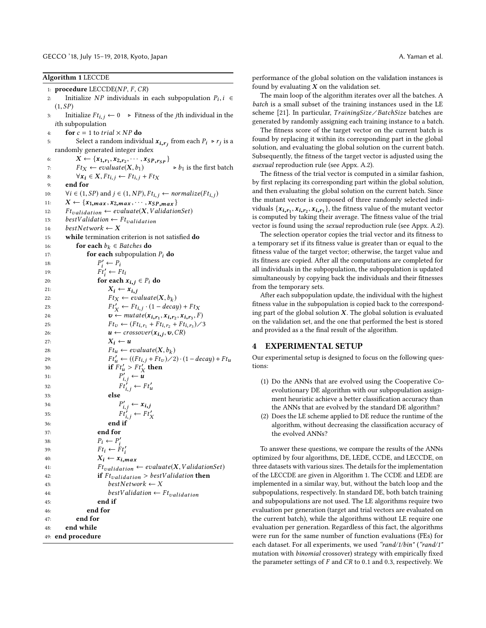#### GECCO '18, July 15–19, 2018, Kyoto, Japan A. Yaman et al.

<span id="page-4-1"></span>

|            | Algorithm 1 LECCDE                                                                      |
|------------|-----------------------------------------------------------------------------------------|
|            | 1: <b>procedure</b> LECCDE( $NP, F, CR$ )                                               |
| 2:         | Initialize NP individuals in each subpopulation $P_i$ , $i \in$                         |
|            | (1, SP)                                                                                 |
| 3:         | Initialize $Ft_{i,j} \leftarrow 0$ > Fitness of the <i>j</i> th individual in the       |
|            | <i>i</i> th subpopulation                                                               |
| 4:         | <b>for</b> $c = 1$ to <i>trial</i> $\times$ <i>NP</i> <b>do</b>                         |
| 5:         | Select a random individual $x_{i,r_i}$ from each $P_i \triangleright r_j$ is a          |
|            | randomly generated integer index                                                        |
| 6:         | $X \leftarrow \{x_{1,r_1}, x_{2,r_2}, \cdots, x_{SP,r_{SP}}\}$                          |
| 7:         | $\triangleright b_1$ is the first batch<br>$Ft_X \leftarrow evaluate(X, b_1)$           |
| 8:         | $\forall x_i \in X, Ft_{i,j} \leftarrow Ft_{i,j} + Ft_X$                                |
| 9:         | end for                                                                                 |
| 10:        | $\forall i \in (1, SP)$ and $j \in (1, NP)$ , $Ft_{i,j} \leftarrow normalize(Ft_{i,j})$ |
| 11:        | $X \leftarrow \{x_{1,max}, x_{2,max}, \cdots, x_{SP,max}\}$                             |
| 12:        | $F_{\text{validation}} \leftarrow \text{evaluate}(X, \text{ValidationSet})$             |
| 13:        | $bestValidation \leftarrow Ft_{validation}$                                             |
| 14:        | $bestNetwork \leftarrow X$                                                              |
| 15:        | while termination criterion is not satisfied do<br>for each $b_k \in$ Batches do        |
| 16:<br>17: | <b>for each</b> subpopulation $P_i$ <b>do</b>                                           |
| 18:        | $P'_i \leftarrow P_i$                                                                   |
| 19:        | $Ft_i' \leftarrow Ft_i$                                                                 |
| 20:        | for each $x_{i,j} \in P_i$ do                                                           |
| 21:        | $X_i \leftarrow x_{i,j}$                                                                |
| 22:        | $Ft_X \leftarrow evaluate(X, b_k)$                                                      |
| 23:        | $Ft'_{X} \leftarrow Ft_{i,j} \cdot (1 - decay) + Ft_{X}$                                |
| 24:        | $\boldsymbol{v} \leftarrow \textit{mutate}(x_{i,r_1}, x_{i,r_2}, x_{i,r_3}, F)$         |
| 25:        | $Ft_{v} \leftarrow (Ft_{i,r_1} + Ft_{i,r_2} + Ft_{i,r_3})$ /3                           |
| 26:        | $u \leftarrow \text{crossover}(x_{i,j}, v, CR)$                                         |
| 27:        | $X_i \leftarrow u$                                                                      |
| 28:        | $F t_u \leftarrow evaluate(X, b_k)$                                                     |
| 29:        | $Ft'_u \leftarrow ((Ft_{i,j} + Ft_v)/2) \cdot (1 - decay) + Ft_u$                       |
| 30:        | if $Ft'_u > Ft'_X$ then                                                                 |
| 31:        | $P'_{i,j} \leftarrow u$<br>$F t'_{i,j} \leftarrow F t'_u$                               |
| 32:        |                                                                                         |
| 33:        | else                                                                                    |
| 34:        | $P'_{i,j} \leftarrow x_{i,j}$<br>$Ft'_{i,j} \leftarrow Ft'_{X}$                         |
| 35:        |                                                                                         |
| 36:        | end if                                                                                  |
| 37:        | end for<br>$P_i \leftarrow P'_i$                                                        |
| 38:<br>39: | $F_t \leftarrow F_t'$                                                                   |
| 40:        | $X_i \leftarrow x_{i,max}$                                                              |
| 41:        | $F t_{validation} \leftarrow evaluate(X, ValidationSet)$                                |
| 42:        | if $Ft_{validation} > bestValidation$ then                                              |
| 43:        | $bestNetwork \leftarrow X$                                                              |
| 44:        | $bestValidation \leftarrow Ft_{validation}$                                             |
| 45:        | end if                                                                                  |
| 46:        | end for                                                                                 |
| 47:        | end for                                                                                 |
| 48:        | end while                                                                               |
|            | 49: end procedure                                                                       |

performance of the global solution on the validation instances is found by evaluating  $\boldsymbol{X}$  on the validation set.

The main loop of the algorithm iterates over all the batches. A batch is a small subset of the training instances used in the LE scheme [\[21\]](#page-8-5). In particular, TrainingSize/BatchSize batches are generated by randomly assigning each training instance to a batch.

The fitness score of the target vector on the current batch is found by replacing it within its corresponding part in the global solution, and evaluating the global solution on the current batch. Subsequently, the fitness of the target vector is adjusted using the asexual reproduction rule (see Appx. [A.2\)](#page-8-35).

The fitness of the trial vector is computed in a similar fashion, by first replacing its corresponding part within the global solution, and then evaluating the global solution on the current batch. Since the mutant vector is composed of three randomly selected individuals  $\{x_{i,r_1}, x_{i,r_2}, x_{i,r_3}\}$ , the fitness value of the mutant vector<br>is computed by taking their average. The fitness value of the trial is computed by taking their average. The fitness value of the trial vector is found using the sexual reproduction rule (see Appx. [A.2\)](#page-8-35).

The selection operator copies the trial vector and its fitness to a temporary set if its fitness value is greater than or equal to the fitness value of the target vector; otherwise, the target value and its fitness are copied. After all the computations are completed for all individuals in the subpopulation, the subpopulation is updated simultaneously by copying back the individuals and their fitnesses from the temporary sets.

After each subpopulation update, the individual with the highest fitness value in the subpopulation is copied back to the corresponding part of the global solution  $X$ . The global solution is evaluated on the validation set, and the one that performed the best is stored and provided as a the final result of the algorithm.

#### <span id="page-4-0"></span>4 EXPERIMENTAL SETUP

Our experimental setup is designed to focus on the following questions:

- (1) Do the ANNs that are evolved using the Cooperative Coevolutionary DE algorithm with our subpopulation assignment heuristic achieve a better classification accuracy than the ANNs that are evolved by the standard DE algorithm?
- (2) Does the LE scheme applied to DE reduce the runtime of the algorithm, without decreasing the classification accuracy of the evolved ANNs?

To answer these questions, we compare the results of the ANNs optimized by four algorithms, DE, LEDE, CCDE, and LECCDE, on three datasets with various sizes. The details for the implementation of the LECCDE are given in Algorithm [1.](#page-4-1) The CCDE and LEDE are implemented in a similar way, but, without the batch loop and the subpopulations, respectively. In standard DE, both batch training and subpopulations are not used. The LE algorithms require two evaluation per generation (target and trial vectors are evaluated on the current batch), while the algorithms without LE require one evaluation per generation. Regardless of this fact, the algorithms were run for the same number of function evaluations (FEs) for each dataset. For all experiments, we used "rand/1/bin" ("rand/1" mutation with binomial crossover) strategy with empirically fixed the parameter settings of  $F$  and  $CR$  to 0.1 and 0.3, respectively. We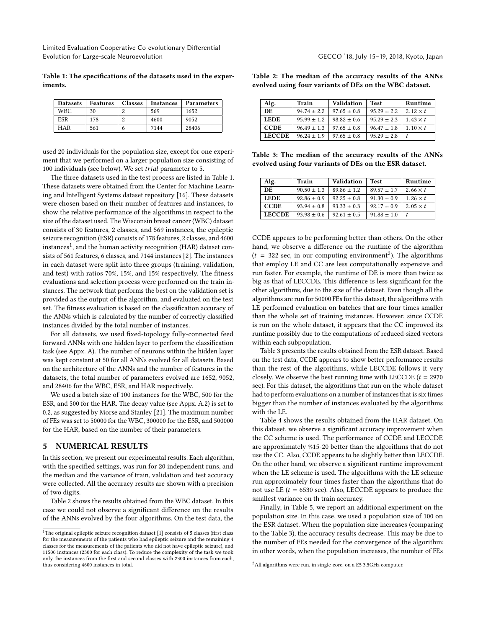Limited Evaluation Cooperative Co-evolutionary Differential Evolution for Large-scale Neuroevolution GECCO '18, July 15–19, 2018, Kyoto, Japan

<span id="page-5-1"></span>Table 1: The specifications of the datasets used in the experiments.

| <b>Datasets</b> | <b>Features</b> | <b>Classes</b> | <b>Instances</b> | <b>Parameters</b> |  |  |
|-----------------|-----------------|----------------|------------------|-------------------|--|--|
| WBC             | 30              |                | 569              | 1652              |  |  |
| <b>ESR</b>      | 178             |                | 4600             | 9052              |  |  |
| HAR             | 561             |                | 7144             | 28406             |  |  |

used 20 individuals for the population size, except for one experiment that we performed on a larger population size consisting of <sup>100</sup> individuals (see below). We set trial parameter to 5.

The three datasets used in the test process are listed in Table [1.](#page-5-1) These datasets were obtained from the Center for Machine Learning and Intelligent Systems dataset repository [\[16\]](#page-8-36). These datasets were chosen based on their number of features and instances, to show the relative performance of the algorithms in respect to the size of the dataset used. The Wisconsin breast cancer (WBC) dataset consists of 30 features, 2 classes, and 569 instances, the epileptic seizure recognition (ESR) consists of 178 features, 2 classes, and 4600 instances<sup>[1](#page-5-2)</sup>, and the human activity recognition (HAR) dataset consists of 561 features, 6 classes, and 7144 instances [\[2\]](#page-8-37). The instances in each dataset were split into three groups (training, validation, and test) with ratios 70%, 15%, and 15% respectively. The fitness evaluations and selection process were performed on the train instances. The network that performs the best on the validation set is provided as the output of the algorithm, and evaluated on the test set. The fitness evaluation is based on the classification accuracy of the ANNs which is calculated by the number of correctly classified instances divided by the total number of instances.

For all datasets, we used fixed-topology fully-connected feed forward ANNs with one hidden layer to perform the classification task (see Appx. [A\)](#page-7-1). The number of neurons within the hidden layer was kept constant at 50 for all ANNs evolved for all datasets. Based on the architecture of the ANNs and the number of features in the datasets, the total number of parameters evolved are 1652, 9052, and 28406 for the WBC, ESR, and HAR respectively.

We used a batch size of 100 instances for the WBC, 500 for the ESR, and 500 for the HAR. The decay value (see Appx. [A.2\)](#page-8-35) is set to 0.2, as suggested by Morse and Stanley [\[21\]](#page-8-5). The maximum number of FEs was set to 50000 for the WBC, 300000 for the ESR, and 500000 for the HAR, based on the number of their parameters.

#### <span id="page-5-0"></span>5 NUMERICAL RESULTS

In this section, we present our experimental results. Each algorithm, with the specified settings, was run for 20 independent runs, and the median and the variance of train, validation and test accuracy were collected. All the accuracy results are shown with a precision of two digits.

Table [2](#page-5-3) shows the results obtained from the WBC dataset. In this case we could not observe a significant difference on the results of the ANNs evolved by the four algorithms. On the test data, the

| Alg.          | Train           | Validation      | <b>Test</b>     | Runtime         |
|---------------|-----------------|-----------------|-----------------|-----------------|
| DE            | $94.74 \pm 2.2$ | $97.65 \pm 0.8$ | $95.29 \pm 2.2$ | $2.12 \times t$ |
| <b>LEDE</b>   | $95.99 \pm 1.2$ | $98.82 \pm 0.6$ | $9529 + 23$     | $1.43 \times t$ |
| <b>CCDE</b>   | $96.49 \pm 1.3$ | $9765 + 08$     | $96.47 \pm 1.8$ | $1.10 \times t$ |
| <b>LECCDE</b> | $9624 + 19$     | $97.65 \pm 0.8$ | $9529 + 28$     |                 |

<span id="page-5-3"></span>Table 2: The median of the accuracy results of the ANNs evolved using four variants of DEs on the WBC dataset.

<span id="page-5-5"></span>Table 3: The median of the accuracy results of the ANNs evolved using four variants of DEs on the ESR dataset.

| Alg.          | Train           | Validation      | <b>Test</b>     | Runtime         |
|---------------|-----------------|-----------------|-----------------|-----------------|
| DE.           | $90.50 \pm 1.3$ | $89.86 \pm 1.2$ | $89.57 + 1.7$   | $2.66 \times t$ |
| <b>LEDE</b>   | $92.86 \pm 0.9$ | $92.25 \pm 0.8$ | $91.30 \pm 0.9$ | $1.26 \times t$ |
| <b>CCDE</b>   | $93.94 \pm 0.8$ | $93.33 \pm 0.3$ | $92.17 \pm 0.9$ | $2.05 \times t$ |
| <b>LECCDE</b> | $93.98 \pm 0.6$ | $92.61 \pm 0.5$ | $91.88 \pm 1.0$ |                 |

CCDE appears to be performing better than others. On the other hand, we observe a difference on the runtime of the algorithm  $(t = 322 \text{ sec}, \text{ in our computing environment}^2)$  $(t = 322 \text{ sec}, \text{ in our computing environment}^2)$  $(t = 322 \text{ sec}, \text{ in our computing environment}^2)$ . The algorithms that employ LE and CC are less computationally expensive and that employ LE and CC are less computationally expensive and run faster. For example, the runtime of DE is more than twice as big as that of LECCDE. This difference is less significant for the other algorithms, due to the size of the dataset. Even though all the algorithms are run for 50000 FEs for this dataset, the algorithms with LE performed evaluation on batches that are four times smaller than the whole set of training instances. However, since CCDE is run on the whole dataset, it appears that the CC improved its runtime possibly due to the computations of reduced-sized vectors within each subpopulation.

Table [3](#page-5-5) presents the results obtained from the ESR dataset. Based on the test data, CCDE appears to show better performance results than the rest of the algorithms, while LECCDE follows it very closely. We observe the best running time with LECCDE  $(t = 2970$ sec). For this dataset, the algorithms that run on the whole dataset had to perform evaluations on a number of instances that is six times bigger than the number of instances evaluated by the algorithms with the LE.

Table [4](#page-6-0) shows the results obtained from the HAR dataset. On this dataset, we observe a significant accuracy improvement when the CC scheme is used. The performance of CCDE and LECCDE are approximately %15-20 better than the algorithms that do not use the CC. Also, CCDE appears to be slightly better than LECCDE. On the other hand, we observe a significant runtime improvement when the LE scheme is used. The algorithms with the LE scheme run approximately four times faster than the algorithms that do not use LE  $(t = 6530 \text{ sec})$ . Also, LECCDE appears to produce the smallest variance on th train accuracy.

Finally, in Table [5,](#page-6-1) we report an additional experiment on the population size. In this case, we used a population size of 100 on the ESR dataset. When the population size increases (comparing to the Table [3\)](#page-5-5), the accuracy results decrease. This may be due to the number of FEs needed for the convergence of the algorithm: in other words, when the population increases, the number of FEs

<span id="page-5-2"></span> $^{\rm 1}{\rm The}$  original epileptic seizure recognition dataset [\[1\]](#page-8-38) consists of 5 classes (first class for the measurements of the patients who had epileptic seizure and the remaining 4 classes for the measurements of the patients who did not have epileptic seizure), and 11500 instances (2300 for each class). To reduce the complexity of the task we took only the instances from the first and second classes with 2300 instances from each, thus considering 4600 instances in total.

<span id="page-5-4"></span> $^{2}$ All algorithms were run, in single-core, on a E5 3.5GHz computer.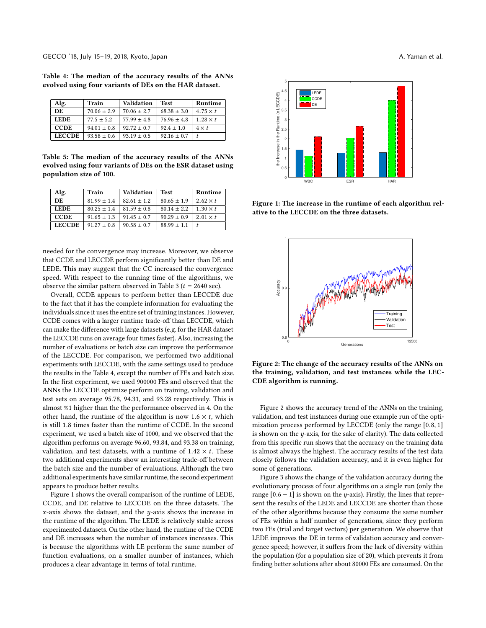<span id="page-6-0"></span>Table 4: The median of the accuracy results of the ANNs evolved using four variants of DEs on the HAR dataset.

| Alg.          | Train           | Validation      | Test            | Runtime         |
|---------------|-----------------|-----------------|-----------------|-----------------|
| DE.           | $70.06 \pm 2.9$ | $70.06 \pm 2.7$ | $68.38 \pm 3.0$ | $4.75 \times t$ |
| <b>LEDE</b>   | $77.5 + 5.2$    | $77.99 \pm 4.8$ | $76.96 \pm 4.8$ | $1.28 \times t$ |
| <b>CCDE</b>   | $94.01 \pm 0.8$ | $92.72 \pm 0.7$ | $92.4 + 1.0$    | $4 \times t$    |
| <b>LECCDE</b> | $9358 + 06$     | $93.19 \pm 0.5$ | $92.16 \pm 0.7$ |                 |

<span id="page-6-1"></span>Table 5: The median of the accuracy results of the ANNs evolved using four variants of DEs on the ESR dataset using population size of 100.

| DE.<br>$81.99 \pm 1.4$<br>$80.65 \pm 1.9$<br>$2.62 \times t$<br>$82.61 + 1.2$<br><b>LEDE</b><br>$81.59 \pm 0.8$<br>$80.14 \pm 2.2$<br>$1.30 \times t$<br>$80.25 + 1.4$<br><b>CCDE</b><br>$90.29 \pm 0.9$<br>$2.01 \times t$<br>$91.65 \pm 1.3$<br>$91.45 \pm 0.7$<br><b>LECCDE</b> | Alg. | Train           | Validation      | <b>Test</b>     | Runtime |
|------------------------------------------------------------------------------------------------------------------------------------------------------------------------------------------------------------------------------------------------------------------------------------|------|-----------------|-----------------|-----------------|---------|
|                                                                                                                                                                                                                                                                                    |      |                 |                 |                 |         |
|                                                                                                                                                                                                                                                                                    |      |                 |                 |                 |         |
|                                                                                                                                                                                                                                                                                    |      |                 |                 |                 |         |
|                                                                                                                                                                                                                                                                                    |      | $91.27 \pm 0.8$ | $90.58 \pm 0.7$ | $88.99 \pm 1.1$ |         |

needed for the convergence may increase. Moreover, we observe that CCDE and LECCDE perform significantly better than DE and LEDE. This may suggest that the CC increased the convergence speed. With respect to the running time of the algorithms, we observe the similar pattern observed in Table [3](#page-5-5) ( $t = 2640$  sec).

Overall, CCDE appears to perform better than LECCDE due to the fact that it has the complete information for evaluating the individuals since it uses the entire set of training instances. However, CCDE comes with a larger runtime trade-off than LECCDE, which can make the difference with large datasets (e.g. for the HAR dataset the LECCDE runs on average four times faster). Also, increasing the number of evaluations or batch size can improve the performance of the LECCDE. For comparison, we performed two additional experiments with LECCDE, with the same settings used to produce the results in the Table [4,](#page-6-0) except the number of FEs and batch size. In the first experiment, we used 900000 FEs and observed that the ANNs the LECCDE optimize perform on training, validation and test sets on average 95.78, 94.31, and 93.28 respectively. This is almost %1 higher than the the performance observed in [4.](#page-6-0) On the other hand, the runtime of the algorithm is now  $1.6 \times t$ , which is still <sup>1</sup>.<sup>8</sup> times faster than the runtime of CCDE. In the second experiment, we used a batch size of 1000, and we observed that the algorithm performs on average 96.60, 93.84, and 93.38 on training, validation, and test datasets, with a runtime of  $1.42 \times t$ . These two additional experiments show an interesting trade-off between the batch size and the number of evaluations. Although the two additional experiments have similar runtime, the second experiment appears to produce better results.

Figure [1](#page-6-2) shows the overall comparison of the runtime of LEDE, CCDE, and DE relative to LECCDE on the three datasets. The  $x$ -axis shows the dataset, and the  $y$ -axis shows the increase in the runtime of the algorithm. The LEDE is relatively stable across experimented datasets. On the other hand, the runtime of the CCDE and DE increases when the number of instances increases. This is because the algorithms with LE perform the same number of function evaluations, on a smaller number of instances, which produces a clear advantage in terms of total runtime.

<span id="page-6-2"></span>

Figure 1: The increase in the runtime of each algorithm relative to the LECCDE on the three datasets.

<span id="page-6-3"></span>

Figure 2: The change of the accuracy results of the ANNs on the training, validation, and test instances while the LEC-CDE algorithm is running.

Figure [2](#page-6-3) shows the accuracy trend of the ANNs on the training, validation, and test instances during one example run of the optimization process performed by LECCDE (only the range [0.8, <sup>1</sup>] is shown on the  $y$ -axis, for the sake of clarity). The data collected from this specific run shows that the accuracy on the training data is almost always the highest. The accuracy results of the test data closely follows the validation accuracy, and it is even higher for some of generations.

Figure [3](#page-7-2) shows the change of the validation accuracy during the evolutionary process of four algorithms on a single run (only the range  $[0.6 - 1]$  is shown on the y-axis). Firstly, the lines that represent the results of the LEDE and LECCDE are shorter than those of the other algorithms because they consume the same number of FEs within a half number of generations, since they perform two FEs (trial and target vectors) per generation. We observe that LEDE improves the DE in terms of validation accuracy and convergence speed; however, it suffers from the lack of diversity within the population (for a population size of 20), which prevents it from finding better solutions after about 80000 FEs are consumed. On the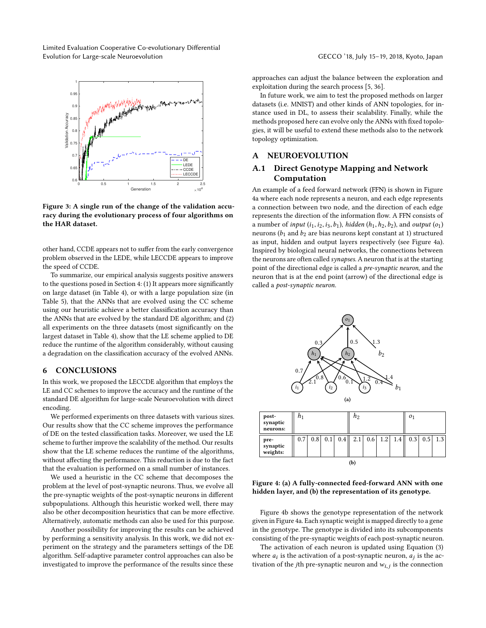Limited Evaluation Cooperative Co-evolutionary Differential Evolution for Large-scale Neuroevolution GECCO '18, July 15–19, 2018, Kyoto, Japan

<span id="page-7-2"></span>

Figure 3: A single run of the change of the validation accuracy during the evolutionary process of four algorithms on the HAR dataset.

other hand, CCDE appears not to suffer from the early convergence problem observed in the LEDE, while LECCDE appears to improve the speed of CCDE.

To summarize, our empirical analysis suggests positive answers to the questions posed in Section [4:](#page-4-0) (1) It appears more significantly on large dataset (in Table [4\)](#page-6-0), or with a large population size (in Table [5\)](#page-6-1), that the ANNs that are evolved using the CC scheme using our heuristic achieve a better classification accuracy than the ANNs that are evolved by the standard DE algorithm; and (2) all experiments on the three datasets (most significantly on the largest dataset in Table [4\)](#page-6-0), show that the LE scheme applied to DE reduce the runtime of the algorithm considerably, without causing a degradation on the classification accuracy of the evolved ANNs.

### <span id="page-7-0"></span>6 CONCLUSIONS

In this work, we proposed the LECCDE algorithm that employs the LE and CC schemes to improve the accuracy and the runtime of the standard DE algorithm for large-scale Neuroevolution with direct encoding.

We performed experiments on three datasets with various sizes. Our results show that the CC scheme improves the performance of DE on the tested classification tasks. Moreover, we used the LE scheme to further improve the scalability of the method. Our results show that the LE scheme reduces the runtime of the algorithms, without affecting the performance. This reduction is due to the fact that the evaluation is performed on a small number of instances.

We used a heuristic in the CC scheme that decomposes the problem at the level of post-synaptic neurons. Thus, we evolve all the pre-synaptic weights of the post-synaptic neurons in different subpopulations. Although this heuristic worked well, there may also be other decomposition heuristics that can be more effective. Alternatively, automatic methods can also be used for this purpose.

Another possibility for improving the results can be achieved by performing a sensitivity analysis. In this work, we did not experiment on the strategy and the parameters settings of the DE algorithm. Self-adaptive parameter control approaches can also be investigated to improve the performance of the results since these

approaches can adjust the balance between the exploration and exploitation during the search process [\[5,](#page-8-8) [36\]](#page-8-39).

In future work, we aim to test the proposed methods on larger datasets (i.e. MNIST) and other kinds of ANN topologies, for instance used in DL, to assess their scalability. Finally, while the methods proposed here can evolve only the ANNs with fixed topologies, it will be useful to extend these methods also to the network topology optimization.

#### <span id="page-7-1"></span>A NEUROEVOLUTION

# A.1 Direct Genotype Mapping and Network Computation

An example of a feed forward network (FFN) is shown in Figure [4a](#page-7-3) where each node represents a neuron, and each edge represents a connection between two node, and the direction of each edge represents the direction of the information flow. A FFN consists of a number of input  $(i_1,i_2,i_3,b_1)$ , hidden  $(h_1,h_2,b_2)$ , and output  $(o_1)$ neurons ( $b_1$  and  $b_2$  are bias neurons kept constant at 1) structured as input, hidden and output layers respectively (see Figure [4a\)](#page-7-3). Inspired by biological neural networks, the connections between the neurons are often called synapses. A neuron that is at the starting point of the directional edge is called a pre-synaptic neuron, and the neuron that is at the end point (arrow) of the directional edge is called a post-synaptic neuron.

<span id="page-7-3"></span>

<span id="page-7-4"></span>

| post-<br>synaptic<br>neurons: | $n_1$ |     |     |     | $h_2$ |                  |     |     |     |     |     |
|-------------------------------|-------|-----|-----|-----|-------|------------------|-----|-----|-----|-----|-----|
| pre-<br>synaptic<br>weights:  | 0.7   | 0.8 | 0.1 | 0.4 | 2.1   | 0.6 <sub>1</sub> | 1.2 | 1.4 | 0.3 | 0.5 | 1.3 |
| (b)                           |       |     |     |     |       |                  |     |     |     |     |     |

#### Figure 4: [\(a\)](#page-7-3) A fully-connected feed-forward ANN with one hidden layer, and [\(b\)](#page-7-4) the representation of its genotype.

Figure [4b](#page-7-4) shows the genotype representation of the network given in Figure [4a.](#page-7-3) Each synaptic weight is mapped directly to a gene in the genotype. The genotype is divided into its subcomponents consisting of the pre-synaptic weights of each post-synaptic neuron.

The activation of each neuron is updated using Equation [\(3\)](#page-8-40) where  $a_i$  is the activation of a post-synaptic neuron,  $a_j$  is the ac-<br>tivation of the *i*<sup>th</sup> pre-synaptic neuron and  $w_i$  is the connection tivation of the *j*th pre-synaptic neuron and  $w_{i,j}$  is the connection